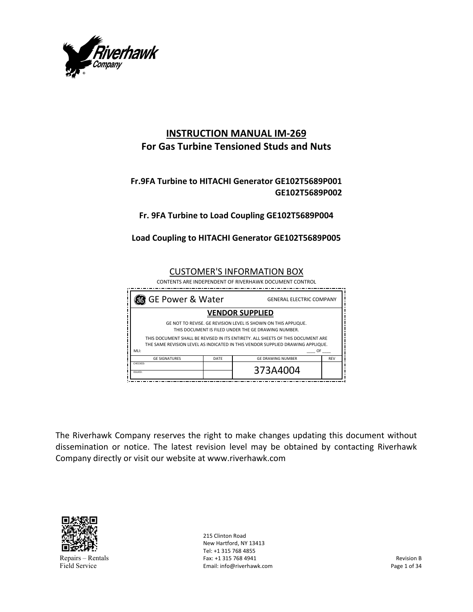

# **INSTRUCTION MANUAL IM‐269 For Gas Turbine Tensioned Studs and Nuts**

## **Fr.9FA Turbine to HITACHI Generator GE102T5689P001 GE102T5689P002**

## **Fr. 9FA Turbine to Load Coupling GE102T5689P004**

### **Load Coupling to HITACHI Generator GE102T5689P005**

CUSTOMER'S INFORMATION BOX

CONTENTS ARE INDEPENDENT OF RIVERHAWK DOCUMENT CONTROL



The Riverhawk Company reserves the right to make changes updating this document without dissemination or notice. The latest revision level may be obtained by contacting Riverhawk Company directly or visit our website at www.riverhawk.com



Repairs – Rentals Field Service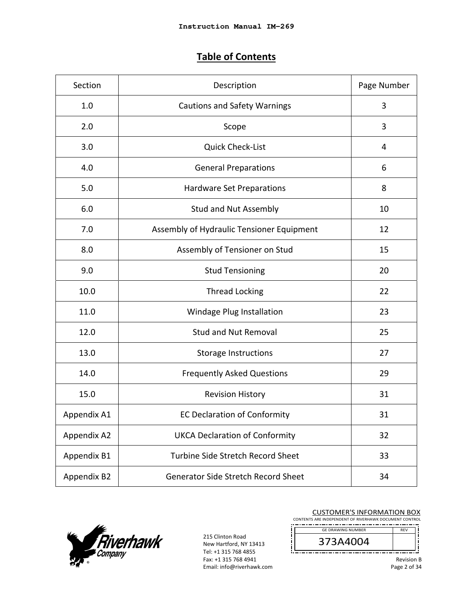# **Table of Contents**

| Section     | Description                                | Page Number |  |  |
|-------------|--------------------------------------------|-------------|--|--|
| 1.0         | <b>Cautions and Safety Warnings</b>        |             |  |  |
| 2.0         | Scope                                      | 3           |  |  |
| 3.0         | Quick Check-List                           | 4           |  |  |
| 4.0         | <b>General Preparations</b>                | 6           |  |  |
| 5.0         | <b>Hardware Set Preparations</b>           | 8           |  |  |
| 6.0         | <b>Stud and Nut Assembly</b>               | 10          |  |  |
| 7.0         | Assembly of Hydraulic Tensioner Equipment  | 12          |  |  |
| 8.0         | Assembly of Tensioner on Stud              | 15          |  |  |
| 9.0         | <b>Stud Tensioning</b>                     | 20          |  |  |
| 10.0        | <b>Thread Locking</b>                      | 22          |  |  |
| 11.0        | Windage Plug Installation                  | 23          |  |  |
| 12.0        | <b>Stud and Nut Removal</b>                | 25          |  |  |
| 13.0        | <b>Storage Instructions</b>                | 27          |  |  |
| 14.0        | <b>Frequently Asked Questions</b>          | 29          |  |  |
| 15.0        | <b>Revision History</b>                    | 31          |  |  |
| Appendix A1 | <b>EC Declaration of Conformity</b>        | 31          |  |  |
| Appendix A2 | <b>UKCA Declaration of Conformity</b>      | 32          |  |  |
| Appendix B1 | Turbine Side Stretch Record Sheet          | 33          |  |  |
| Appendix B2 | <b>Generator Side Stretch Record Sheet</b> | 34          |  |  |



215 Clinton Road New Hartford, NY 13413 Tel: +1 315 768 4855 Fax: +1 315 768 4941 Email: info@riverhawk.com

| <b>CUSTOMER'S INFORMATION BOX</b><br>CONTENTS ARE INDEPENDENT OF RIVERHAWK DOCUMENT CONTROL |            |
|---------------------------------------------------------------------------------------------|------------|
| <b>GE DRAWING NUMBER</b>                                                                    | <b>RFV</b> |
| 373A4004                                                                                    |            |
|                                                                                             | n. n       |

Revision B

Page 2 of 34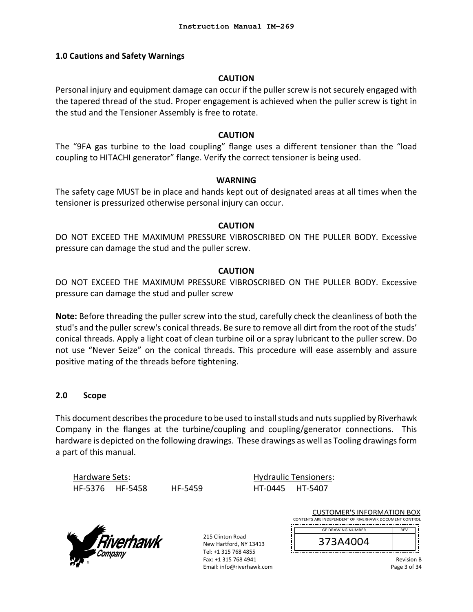#### **1.0 Cautions and Safety Warnings**

#### **CAUTION**

Personal injury and equipment damage can occur if the puller screw is not securely engaged with the tapered thread of the stud. Proper engagement is achieved when the puller screw is tight in the stud and the Tensioner Assembly is free to rotate.

#### **CAUTION**

The "9FA gas turbine to the load coupling" flange uses a different tensioner than the "load coupling to HITACHI generator" flange. Verify the correct tensioner is being used.

#### **WARNING**

The safety cage MUST be in place and hands kept out of designated areas at all times when the tensioner is pressurized otherwise personal injury can occur.

#### **CAUTION**

DO NOT EXCEED THE MAXIMUM PRESSURE VIBROSCRIBED ON THE PULLER BODY. Excessive pressure can damage the stud and the puller screw.

#### **CAUTION**

DO NOT EXCEED THE MAXIMUM PRESSURE VIBROSCRIBED ON THE PULLER BODY. Excessive pressure can damage the stud and puller screw

**Note:** Before threading the puller screw into the stud, carefully check the cleanliness of both the stud's and the puller screw's conical threads. Be sure to remove all dirt from the root of the studs' conical threads. Apply a light coat of clean turbine oil or a spray lubricant to the puller screw. Do not use "Never Seize" on the conical threads. This procedure will ease assembly and assure positive mating of the threads before tightening.

#### **2.0 Scope**

This document describes the procedure to be used to install studs and nuts supplied by Riverhawk Company in the flanges at the turbine/coupling and coupling/generator connections. This hardware is depicted on the following drawings. These drawings as well as Tooling drawings form a part of this manual.

Hardware Sets: HF‐5376 HF‐5458 HF‐5459

Hydraulic Tensioners: HT‐0445 HT‐5407



215 Clinton Road New Hartford, NY 13413 Tel: +1 315 768 4855 Fax: +1 315 768 4941 Email: info@riverhawk.com

| <b>CUSTOMER'S INFORMATION BOX</b>                      |            |  |
|--------------------------------------------------------|------------|--|
| CONTENTS ARE INDEPENDENT OF RIVERHAWK DOCUMENT CONTROL |            |  |
| <b>GE DRAWING NUMBER</b>                               | <b>RFV</b> |  |
| 373A4004                                               |            |  |
|                                                        |            |  |

Revision B Page 3 of 34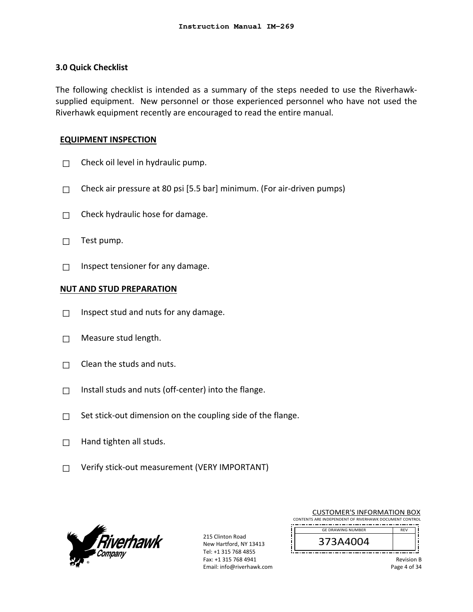#### **3.0 Quick Checklist**

The following checklist is intended as a summary of the steps needed to use the Riverhawk‐ supplied equipment. New personnel or those experienced personnel who have not used the Riverhawk equipment recently are encouraged to read the entire manual.

#### **EQUIPMENT INSPECTION**

- $\Box$  Check oil level in hydraulic pump.
- $\Box$  Check air pressure at 80 psi [5.5 bar] minimum. (For air-driven pumps)
- $\Box$  Check hydraulic hose for damage.
- $\Box$  Test pump.
- $\Box$  Inspect tensioner for any damage.

#### **NUT AND STUD PREPARATION**

- $\Box$  Inspect stud and nuts for any damage.
- $\Box$  Measure stud length.
- $\Box$  Clean the studs and nuts.
- □ Install studs and nuts (off-center) into the flange.
- $\Box$  Set stick-out dimension on the coupling side of the flange.
- $\Box$  Hand tighten all studs.
- □ Verify stick-out measurement (VERY IMPORTANT)



215 Clinton Road New Hartford, NY 13413 Tel: +1 315 768 4855 Fax: +1 315 768 4941 Email: info@riverhawk.com

| <b>CUSTOMER'S INFORMATION BOX</b>                      |            |  |
|--------------------------------------------------------|------------|--|
| CONTENTS ARE INDEPENDENT OF RIVERHAWK DOCUMENT CONTROL |            |  |
| <b>GF DRAWING NUMBER</b>                               | <b>RFV</b> |  |
| 373A4004                                               |            |  |
|                                                        |            |  |

Revision B Page 4 of 34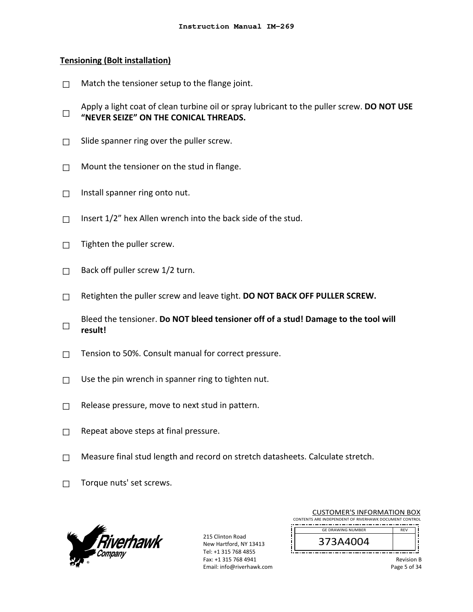#### **Tensioning (Bolt installation)**

- $\Box$  Match the tensioner setup to the flange joint.
- □ Apply a light coat of clean turbine oil or spray lubricant to the puller screw. **DO NOT USE "NEVER SEIZE" ON THE CONICAL THREADS.**
- $\Box$  Slide spanner ring over the puller screw.
- $\Box$  Mount the tensioner on the stud in flange.
- $\Box$  Install spanner ring onto nut.
- $\Box$  Insert 1/2" hex Allen wrench into the back side of the stud.
- $\Box$  Tighten the puller screw.
- $\Box$  Back off puller screw 1/2 turn.
- □ Retighten the puller screw and leave tight. **DO NOT BACK OFF PULLER SCREW.**
- □ Bleed the tensioner. **Do NOT bleed tensioner off of a stud! Damage to the tool will result!**
- $\Box$  Tension to 50%. Consult manual for correct pressure.
- $\Box$  Use the pin wrench in spanner ring to tighten nut.
- $\Box$  Release pressure, move to next stud in pattern.
- $\Box$  Repeat above steps at final pressure.
- $\Box$  Measure final stud length and record on stretch datasheets. Calculate stretch.
- $\Box$  Torque nuts' set screws.



215 Clinton Road New Hartford, NY 13413 Tel: +1 315 768 4855 Fax: +1 315 768 4941 Email: info@riverhawk.com

|                                                        | <b>CUSTOMER'S INFORMATION BOX</b> |            |  |  |  |
|--------------------------------------------------------|-----------------------------------|------------|--|--|--|
| CONTENTS ARE INDEPENDENT OF RIVERHAWK DOCUMENT CONTROL |                                   |            |  |  |  |
|                                                        | <b>GE DRAWING NUMBER</b>          | <b>RFV</b> |  |  |  |
|                                                        | 373A4004                          |            |  |  |  |
|                                                        |                                   |            |  |  |  |

Revision B Page 5 of 34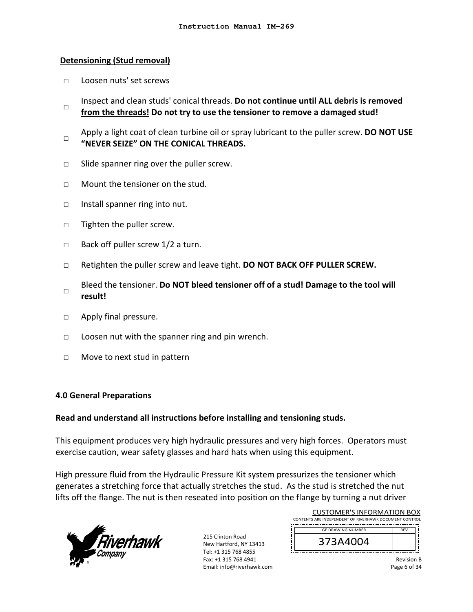#### **Detensioning (Stud removal)**

- □ Loosen nuts' set screws
- $\Box$ Inspect and clean studs' conical threads. **Do not continue until ALL debris is removed from the threads! Do not try to use the tensioner to remove a damaged stud!**
- □ Apply a light coat of clean turbine oil or spray lubricant to the puller screw. **DO NOT USE "NEVER SEIZE" ON THE CONICAL THREADS.**
- □ Slide spanner ring over the puller screw.
- $\neg$  Mount the tensioner on the stud.
- □ Install spanner ring into nut.
- □ Tighten the puller screw.
- $\Box$  Back off puller screw 1/2 a turn.
- □ Retighten the puller screw and leave tight. **DO NOT BACK OFF PULLER SCREW.**
- □ Bleed the tensioner. **Do NOT bleed tensioner off of a stud! Damage to the tool will result!**
- □ Apply final pressure.
- $\Box$  Loosen nut with the spanner ring and pin wrench.
- □ Move to next stud in pattern

#### **4.0 General Preparations**

#### **Read and understand all instructions before installing and tensioning studs.**

This equipment produces very high hydraulic pressures and very high forces. Operators must exercise caution, wear safety glasses and hard hats when using this equipment.

High pressure fluid from the Hydraulic Pressure Kit system pressurizes the tensioner which generates a stretching force that actually stretches the stud. As the stud is stretched the nut lifts off the flange. The nut is then reseated into position on the flange by turning a nut driver



| <b>CUSTOMER'S INFORMATION BOX</b>                      |                   |  |
|--------------------------------------------------------|-------------------|--|
| CONTENTS ARE INDEPENDENT OF RIVERHAWK DOCUMENT CONTROL |                   |  |
| <b>GE DRAWING NUMBER</b>                               | <b>RFV</b>        |  |
| 373A4004                                               |                   |  |
|                                                        | <b>Revision B</b> |  |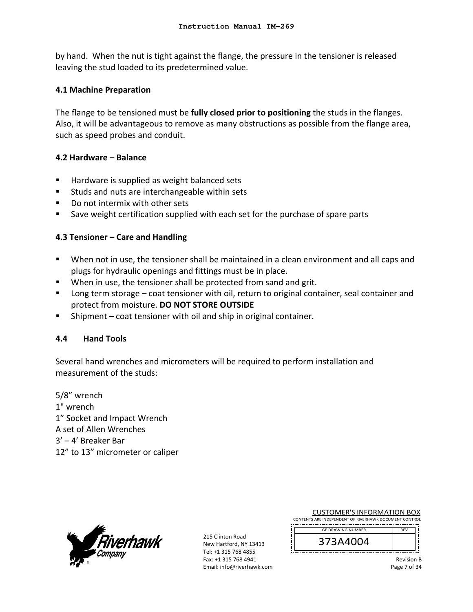by hand. When the nut is tight against the flange, the pressure in the tensioner is released leaving the stud loaded to its predetermined value.

### **4.1 Machine Preparation**

The flange to be tensioned must be **fully closed prior to positioning** the studs in the flanges. Also, it will be advantageous to remove as many obstructions as possible from the flange area, such as speed probes and conduit.

### **4.2 Hardware – Balance**

- Hardware is supplied as weight balanced sets
- **Studs and nuts are interchangeable within sets**
- Do not intermix with other sets
- Save weight certification supplied with each set for the purchase of spare parts

### **4.3 Tensioner – Care and Handling**

- When not in use, the tensioner shall be maintained in a clean environment and all caps and plugs for hydraulic openings and fittings must be in place.
- **When in use, the tensioner shall be protected from sand and grit.**
- Long term storage coat tensioner with oil, return to original container, seal container and protect from moisture. **DO NOT STORE OUTSIDE**
- Shipment coat tensioner with oil and ship in original container.

### **4.4 Hand Tools**

Several hand wrenches and micrometers will be required to perform installation and measurement of the studs:

5/8" wrench 1" wrench 1" Socket and Impact Wrench A set of Allen Wrenches 3' – 4' Breaker Bar 12" to 13" micrometer or caliper



215 Clinton Road New Hartford, NY 13413 Tel: +1 315 768 4855 Fax: +1 315 768 4941 Email: info@riverhawk.com

| CONTENTS ARE INDEPENDENT OF RIVERHAWK DOCUMENT CONTROL |  |                          |  |  |  |            |  |
|--------------------------------------------------------|--|--------------------------|--|--|--|------------|--|
|                                                        |  |                          |  |  |  |            |  |
|                                                        |  | <b>GE DRAWING NUMBER</b> |  |  |  | <b>RFV</b> |  |
|                                                        |  |                          |  |  |  |            |  |

CUSTOMER'S INFORMATION BOX

Revision B

Page 7 of 34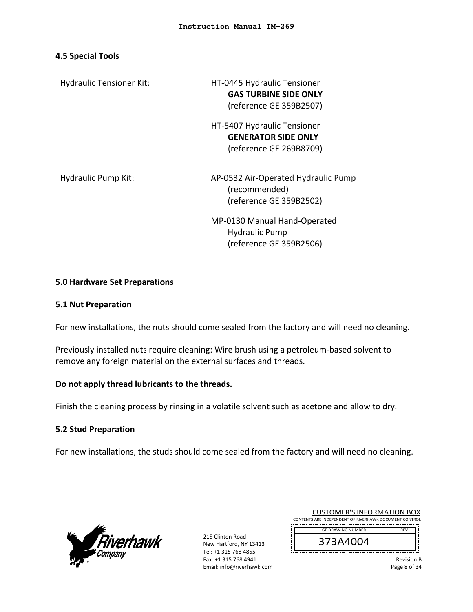#### **4.5 Special Tools**

Hydraulic Tensioner Kit: 
Hydraulic Tensioner Kit:

| HT-0445 Hydraulic Tensioner  |
|------------------------------|
| <b>GAS TURBINE SIDE ONLY</b> |
| (reference GE 359B2507)      |

 HT‐5407 Hydraulic Tensioner **GENERATOR SIDE ONLY**  (reference GE 269B8709)

Hydraulic Pump Kit: 
and AP-0532 Air-Operated Hydraulic Pump (recommended) (reference GE 359B2502)

> MP‐0130 Manual Hand‐Operated Hydraulic Pump (reference GE 359B2506)

### **5.0 Hardware Set Preparations**

#### **5.1 Nut Preparation**

For new installations, the nuts should come sealed from the factory and will need no cleaning.

Previously installed nuts require cleaning: Wire brush using a petroleum‐based solvent to remove any foreign material on the external surfaces and threads.

### **Do not apply thread lubricants to the threads.**

Finish the cleaning process by rinsing in a volatile solvent such as acetone and allow to dry.

#### **5.2 Stud Preparation**

For new installations, the studs should come sealed from the factory and will need no cleaning.



215 Clinton Road New Hartford, NY 13413 Tel: +1 315 768 4855 Fax: +1 315 768 4941 Email: info@riverhawk.com

| COSTONIER STIVI ORNATION DOA                           |            |  |
|--------------------------------------------------------|------------|--|
| CONTENTS ARE INDEPENDENT OF RIVERHAWK DOCUMENT CONTROL |            |  |
|                                                        |            |  |
| <b>GE DRAWING NUMBER</b>                               | <b>RFV</b> |  |
| 373A4004                                               |            |  |
|                                                        |            |  |

CUSTOMER'S INFORMATION BOY

Revision B Page 8 of 34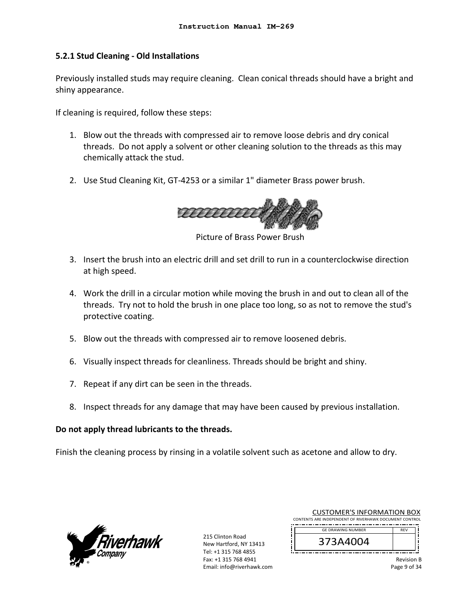### **5.2.1 Stud Cleaning ‐ Old Installations**

Previously installed studs may require cleaning. Clean conical threads should have a bright and shiny appearance.

If cleaning is required, follow these steps:

- 1. Blow out the threads with compressed air to remove loose debris and dry conical threads. Do not apply a solvent or other cleaning solution to the threads as this may chemically attack the stud.
- 2. Use Stud Cleaning Kit, GT‐4253 or a similar 1" diameter Brass power brush.



Picture of Brass Power Brush

- 3. Insert the brush into an electric drill and set drill to run in a counterclockwise direction at high speed.
- 4. Work the drill in a circular motion while moving the brush in and out to clean all of the threads. Try not to hold the brush in one place too long, so as not to remove the stud's protective coating.
- 5. Blow out the threads with compressed air to remove loosened debris.
- 6. Visually inspect threads for cleanliness. Threads should be bright and shiny.
- 7. Repeat if any dirt can be seen in the threads.
- 8. Inspect threads for any damage that may have been caused by previous installation.

### **Do not apply thread lubricants to the threads.**

Finish the cleaning process by rinsing in a volatile solvent such as acetone and allow to dry.



215 Clinton Road New Hartford, NY 13413 Tel: +1 315 768 4855 Fax: +1 315 768 4941 Email: info@riverhawk.com

| COSTONIER 3 INTORNATION BOA                            |            |  |
|--------------------------------------------------------|------------|--|
| CONTENTS ARE INDEPENDENT OF RIVERHAWK DOCUMENT CONTROL |            |  |
|                                                        |            |  |
| <b>GE DRAWING NUMBER</b>                               | <b>RFV</b> |  |
|                                                        |            |  |
| 373A4004                                               |            |  |
|                                                        |            |  |

CUSTOMER'S INFORMATION BOY

Revision B Page 9 of 34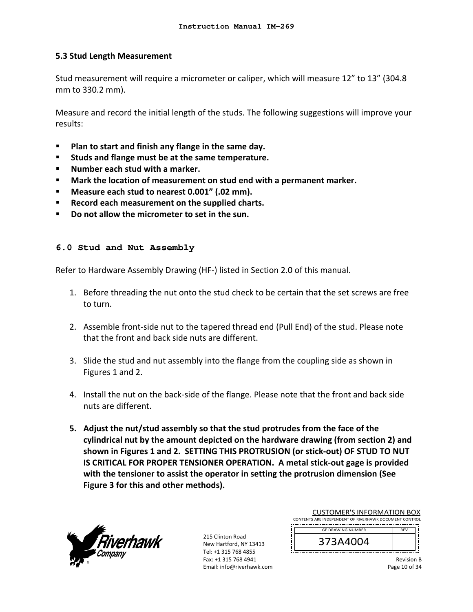### **5.3 Stud Length Measurement**

Stud measurement will require a micrometer or caliper, which will measure 12" to 13" (304.8 mm to 330.2 mm).

Measure and record the initial length of the studs. The following suggestions will improve your results:

- **Plan to start and finish any flange in the same day.**
- **Studs and flange must be at the same temperature.**
- **Number each stud with a marker.**
- **Mark the location of measurement on stud end with a permanent marker.**
- **Measure each stud to nearest 0.001" (.02 mm).**
- **Record each measurement on the supplied charts.**
- **Do not allow the micrometer to set in the sun.**

#### **6.0 Stud and Nut Assembly**

Refer to Hardware Assembly Drawing (HF‐) listed in Section 2.0 of this manual.

- 1. Before threading the nut onto the stud check to be certain that the set screws are free to turn.
- 2. Assemble front‐side nut to the tapered thread end (Pull End) of the stud. Please note that the front and back side nuts are different.
- 3. Slide the stud and nut assembly into the flange from the coupling side as shown in Figures 1 and 2.
- 4. Install the nut on the back‐side of the flange. Please note that the front and back side nuts are different.
- **5. Adjust the nut/stud assembly so that the stud protrudes from the face of the cylindrical nut by the amount depicted on the hardware drawing (from section 2) and shown in Figures 1 and 2. SETTING THIS PROTRUSION (or stick‐out) OF STUD TO NUT IS CRITICAL FOR PROPER TENSIONER OPERATION. A metal stick‐out gage is provided with the tensioner to assist the operator in setting the protrusion dimension (See Figure 3 for this and other methods).**



215 Clinton Road New Hartford, NY 13413 Tel: +1 315 768 4855 Fax: +1 315 768 4941 Email: info@riverhawk.com

| CUSTOMER'S INFORMATION BOX                             |            |  |  |  |  |
|--------------------------------------------------------|------------|--|--|--|--|
| CONTENTS ARE INDEPENDENT OF RIVERHAWK DOCUMENT CONTROL |            |  |  |  |  |
| <b>GE DRAWING NUMBER</b>                               | <b>RFV</b> |  |  |  |  |
| 373A4004                                               |            |  |  |  |  |
|                                                        |            |  |  |  |  |

Revision B Page 10 of 34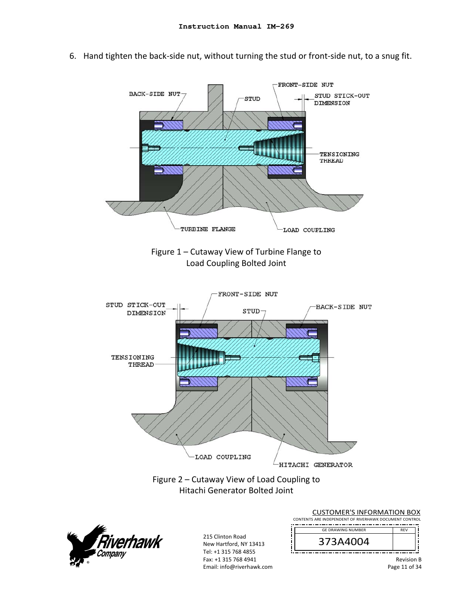

6. Hand tighten the back‐side nut, without turning the stud or front‐side nut, to a snug fit.



| <b>CUSTOMER'S INFORMATION BOX</b><br>CONTENTS ARE INDEPENDENT OF RIVERHAWK DOCUMENT CONTROL |                                    |
|---------------------------------------------------------------------------------------------|------------------------------------|
| <b>GF DRAWING NUMBER</b>                                                                    | <b>RFV</b>                         |
| 373A4004                                                                                    |                                    |
|                                                                                             | <b>Revision B</b><br>Page 11 of 34 |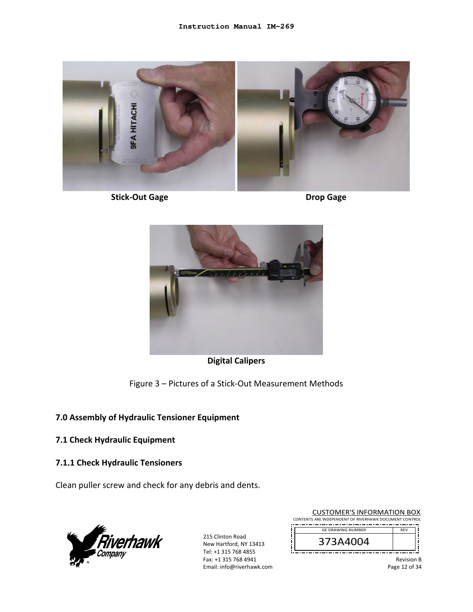

**Stick‐Out Gage Drop Gage** 





**Digital Calipers** 

Figure 3 – Pictures of a Stick‐Out Measurement Methods

## **7.0 Assembly of Hydraulic Tensioner Equipment**

## **7.1 Check Hydraulic Equipment**

## **7.1.1 Check Hydraulic Tensioners**

Clean puller screw and check for any debris and dents.



215 Clinton Road New Hartford, NY 13413 Tel: +1 315 768 4855 Fax: +1 315 768 4941 Email: info@riverhawk.com

| <b>CUSTOMER'S INFORMATION BOX</b>                      |                   |  |  |  |
|--------------------------------------------------------|-------------------|--|--|--|
| CONTENTS ARE INDEPENDENT OF RIVERHAWK DOCUMENT CONTROL |                   |  |  |  |
| <b>GE DRAWING NUMBER</b>                               | <b>RFV</b>        |  |  |  |
| 373A4004                                               |                   |  |  |  |
|                                                        | <b>Revision B</b> |  |  |  |

Page 12 of 34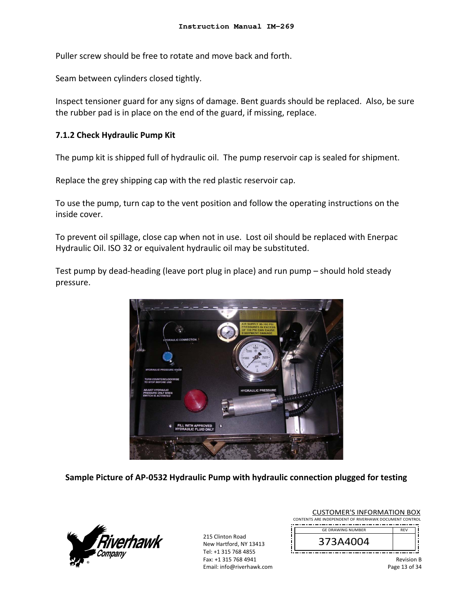Puller screw should be free to rotate and move back and forth.

Seam between cylinders closed tightly.

Inspect tensioner guard for any signs of damage. Bent guards should be replaced. Also, be sure the rubber pad is in place on the end of the guard, if missing, replace.

#### **7.1.2 Check Hydraulic Pump Kit**

The pump kit is shipped full of hydraulic oil. The pump reservoir cap is sealed for shipment.

Replace the grey shipping cap with the red plastic reservoir cap.

To use the pump, turn cap to the vent position and follow the operating instructions on the inside cover.

To prevent oil spillage, close cap when not in use. Lost oil should be replaced with Enerpac Hydraulic Oil. ISO 32 or equivalent hydraulic oil may be substituted.

Test pump by dead‐heading (leave port plug in place) and run pump – should hold steady pressure.



**Sample Picture of AP‐0532 Hydraulic Pump with hydraulic connection plugged for testing**



|                                                        | <b>CUSTOMER'S INFORMATION BOX</b> |            |  |  |
|--------------------------------------------------------|-----------------------------------|------------|--|--|
| CONTENTS ARE INDEPENDENT OF RIVERHAWK DOCUMENT CONTROL |                                   |            |  |  |
|                                                        | <b>GE DRAWING NUMBER</b>          | <b>RFV</b> |  |  |
|                                                        | 373A4004                          |            |  |  |
|                                                        |                                   |            |  |  |
|                                                        |                                   |            |  |  |

Revision B Page 13 of 34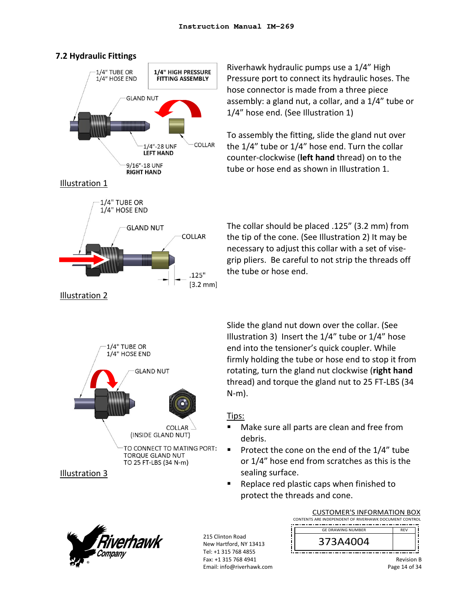



Riverhawk hydraulic pumps use a 1/4" High Pressure port to connect its hydraulic hoses. The hose connector is made from a three piece assembly: a gland nut, a collar, and a 1/4" tube or 1/4" hose end. (See Illustration 1)

To assembly the fitting, slide the gland nut over the 1/4" tube or 1/4" hose end. Turn the collar counter‐clockwise (**left hand** thread) on to the tube or hose end as shown in Illustration 1.



The collar should be placed .125" (3.2 mm) from the tip of the cone. (See Illustration 2) It may be necessary to adjust this collar with a set of vise‐ grip pliers. Be careful to not strip the threads off the tube or hose end.



Slide the gland nut down over the collar. (See Illustration 3) Insert the 1/4" tube or 1/4" hose end into the tensioner's quick coupler. While firmly holding the tube or hose end to stop it from rotating, turn the gland nut clockwise (**right hand** thread) and torque the gland nut to 25 FT‐LBS (34

### Tips:

N‐m).

- Make sure all parts are clean and free from debris.
- Protect the cone on the end of the 1/4" tube or 1/4" hose end from scratches as this is the sealing surface.
- Replace red plastic caps when finished to protect the threads and cone.





Revision B Page 14 of 34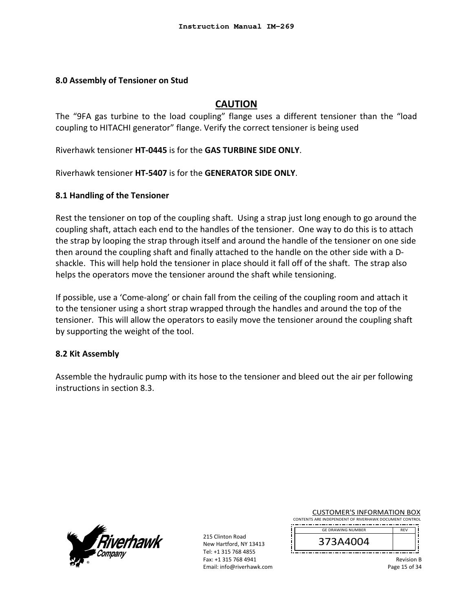#### **8.0 Assembly of Tensioner on Stud**

## **CAUTION**

The "9FA gas turbine to the load coupling" flange uses a different tensioner than the "load coupling to HITACHI generator" flange. Verify the correct tensioner is being used

Riverhawk tensioner **HT‐0445** is for the **GAS TURBINE SIDE ONLY**.

Riverhawk tensioner **HT‐5407** is for the **GENERATOR SIDE ONLY**.

#### **8.1 Handling of the Tensioner**

Rest the tensioner on top of the coupling shaft. Using a strap just long enough to go around the coupling shaft, attach each end to the handles of the tensioner. One way to do this is to attach the strap by looping the strap through itself and around the handle of the tensioner on one side then around the coupling shaft and finally attached to the handle on the other side with a D‐ shackle. This will help hold the tensioner in place should it fall off of the shaft. The strap also helps the operators move the tensioner around the shaft while tensioning.

If possible, use a 'Come‐along' or chain fall from the ceiling of the coupling room and attach it to the tensioner using a short strap wrapped through the handles and around the top of the tensioner. This will allow the operators to easily move the tensioner around the coupling shaft by supporting the weight of the tool.

### **8.2 Kit Assembly**

Assemble the hydraulic pump with its hose to the tensioner and bleed out the air per following instructions in section 8.3.



215 Clinton Road New Hartford, NY 13413 Tel: +1 315 768 4855 Fax: +1 315 768 4941 Email: info@riverhawk.com

| <b>CUSTOMER'S INFORMATION BOX</b>                      |            |  |
|--------------------------------------------------------|------------|--|
| CONTENTS ARE INDEPENDENT OF RIVERHAWK DOCUMENT CONTROL |            |  |
| <b>GF DRAWING NUMBER</b>                               | <b>RFV</b> |  |
|                                                        |            |  |



Revision B Page 15 of 34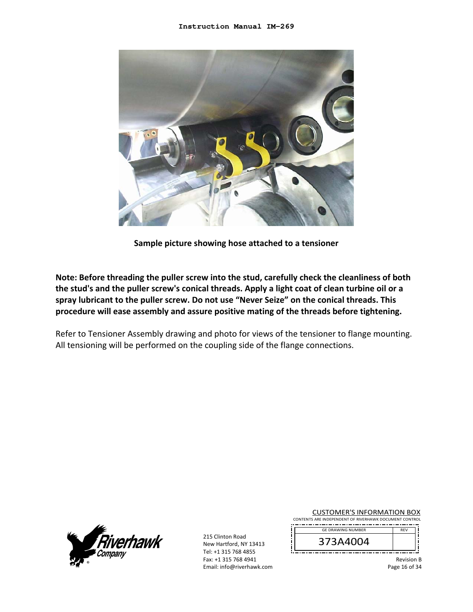

**Sample picture showing hose attached to a tensioner** 

**Note: Before threading the puller screw into the stud, carefully check the cleanliness of both the stud's and the puller screw's conical threads. Apply a light coat of clean turbine oil or a spray lubricant to the puller screw. Do not use "Never Seize" on the conical threads. This procedure will ease assembly and assure positive mating of the threads before tightening.** 

Refer to Tensioner Assembly drawing and photo for views of the tensioner to flange mounting. All tensioning will be performed on the coupling side of the flange connections.



215 Clinton Road New Hartford, NY 13413 Tel: +1 315 768 4855 Fax: +1 315 768 4941 Email: info@riverhawk.com

| <b>CUSTOMER'S INFORMATION BOX</b>                      |            |  |
|--------------------------------------------------------|------------|--|
| CONTENTS ARE INDEPENDENT OF RIVERHAWK DOCUMENT CONTROL |            |  |
| <b>GE DRAWING NUMBER</b>                               | <b>RFV</b> |  |
| 373A4004                                               |            |  |

Revision B Page 16 of 34

—— 1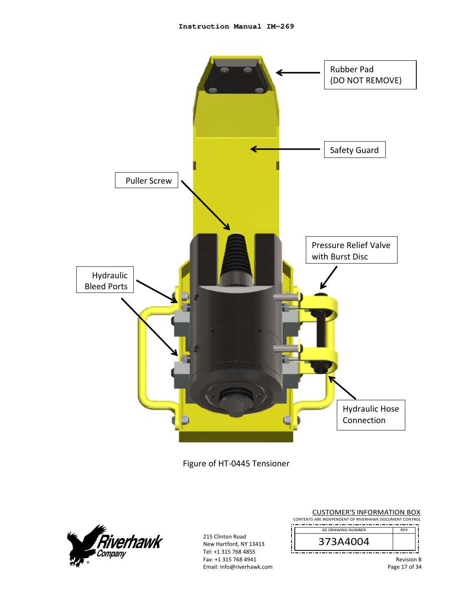

Figure of HT‐0445 Tensioner



| <b>CUSTOMER'S INFORMATION BOX</b><br>CONTENTS ARE INDEPENDENT OF RIVERHAWK DOCUMENT CONTROL |                   |
|---------------------------------------------------------------------------------------------|-------------------|
| <b>GE DRAWING NUMBER</b>                                                                    | <b>RFV</b>        |
| 373A4004                                                                                    |                   |
|                                                                                             | <b>Revision B</b> |

Page 17 of 34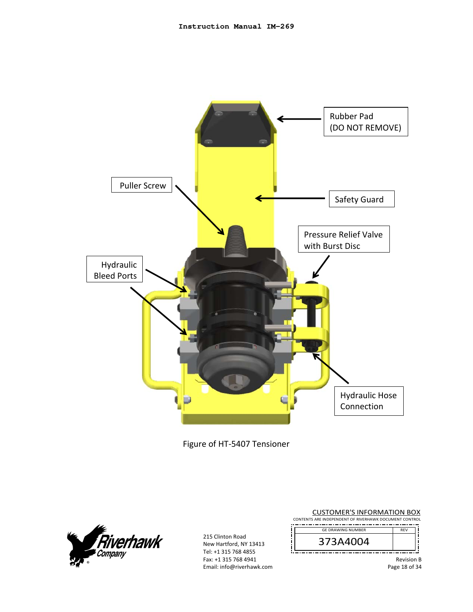

Figure of HT‐5407 Tensioner



| <b>CUSTOMER'S INFORMATION BOX</b><br>CONTENTS ARE INDEPENDENT OF RIVERHAWK DOCUMENT CONTROL |                   |
|---------------------------------------------------------------------------------------------|-------------------|
| <b>GF DRAWING NUMBER</b>                                                                    | <b>RFV</b>        |
| 373A4004                                                                                    |                   |
|                                                                                             | <b>Revision B</b> |
|                                                                                             | Page 18 of 34     |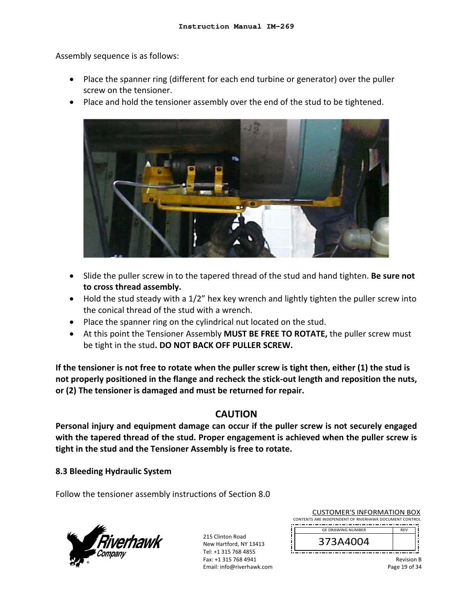Assembly sequence is as follows:

- Place the spanner ring (different for each end turbine or generator) over the puller screw on the tensioner.
- Place and hold the tensioner assembly over the end of the stud to be tightened.



- Slide the puller screw in to the tapered thread of the stud and hand tighten. **Be sure not to cross thread assembly.**
- Hold the stud steady with a 1/2" hex key wrench and lightly tighten the puller screw into the conical thread of the stud with a wrench.
- Place the spanner ring on the cylindrical nut located on the stud.
- At this point the Tensioner Assembly **MUST BE FREE TO ROTATE,** the puller screw must be tight in the stud**. DO NOT BACK OFF PULLER SCREW.**

**If the tensioner is not free to rotate when the puller screw is tight then, either (1) the stud is not properly positioned in the flange and recheck the stick‐out length and reposition the nuts, or (2) The tensioner is damaged and must be returned for repair.** 

## **CAUTION**

**Personal injury and equipment damage can occur if the puller screw is not securely engaged with the tapered thread of the stud. Proper engagement is achieved when the puller screw is tight in the stud and the Tensioner Assembly is free to rotate.**

**8.3 Bleeding Hydraulic System** 

Follow the tensioner assembly instructions of Section 8.0



215 Clinton Road New Hartford, NY 13413 Tel: +1 315 768 4855 Fax: +1 315 768 4941 Email: info@riverhawk.com

| CONTENTS ARE INDEPENDENT OF RIVERHAWK DOCUMENT CONTROL<br><b>GE DRAWING NUMBER</b><br><b>RFV</b><br>373A4004 | <b>CUSTOMER'S INFORMATION BOX</b> |  |  |  |
|--------------------------------------------------------------------------------------------------------------|-----------------------------------|--|--|--|
|                                                                                                              |                                   |  |  |  |
|                                                                                                              |                                   |  |  |  |
|                                                                                                              |                                   |  |  |  |
|                                                                                                              |                                   |  |  |  |

Revision B Page 19 of 34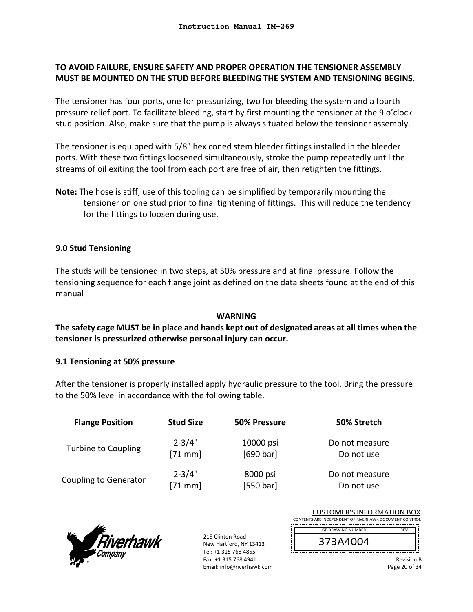## **TO AVOID FAILURE, ENSURE SAFETY AND PROPER OPERATION THE TENSIONER ASSEMBLY MUST BE MOUNTED ON THE STUD BEFORE BLEEDING THE SYSTEM AND TENSIONING BEGINS.**

The tensioner has four ports, one for pressurizing, two for bleeding the system and a fourth pressure relief port. To facilitate bleeding, start by first mounting the tensioner at the 9 o'clock stud position. Also, make sure that the pump is always situated below the tensioner assembly.

The tensioner is equipped with 5/8" hex coned stem bleeder fittings installed in the bleeder ports. With these two fittings loosened simultaneously, stroke the pump repeatedly until the streams of oil exiting the tool from each port are free of air, then retighten the fittings.

**Note:** The hose is stiff; use of this tooling can be simplified by temporarily mounting the tensioner on one stud prior to final tightening of fittings. This will reduce the tendency for the fittings to loosen during use.

### **9.0 Stud Tensioning**

The studs will be tensioned in two steps, at 50% pressure and at final pressure. Follow the tensioning sequence for each flange joint as defined on the data sheets found at the end of this manual

### **WARNING**

## **The safety cage MUST be in place and hands kept out of designated areas at all times when the tensioner is pressurized otherwise personal injury can occur.**

### **9.1 Tensioning at 50% pressure**

After the tensioner is properly installed apply hydraulic pressure to the tool. Bring the pressure to the 50% level in accordance with the following table.

| <b>Flange Position</b>       | <b>Stud Size</b> | 50% Pressure | 50% Stretch    |
|------------------------------|------------------|--------------|----------------|
| Turbine to Coupling          | $2 - 3/4"$       | 10000 psi    | Do not measure |
|                              | $[71$ mm]        | [690 bar]    | Do not use     |
| <b>Coupling to Generator</b> | $2 - 3/4"$       | 8000 psi     | Do not measure |
|                              | $[71$ mm]        | [550 bar]    | Do not use     |



215 Clinton Road New Hartford, NY 13413 Tel: +1 315 768 4855 Fax: +1 315 768 4941 Email: info@riverhawk.com

| CONTENTS ARE INDEPENDENT OF RIVERHAWK DOCUMENT CONTROL |
|--------------------------------------------------------|
|                                                        |
| <b>RFV</b><br><b>GE DRAWING NUMBER</b>                 |
| 373A4004                                               |

Revision B Page 20 of 34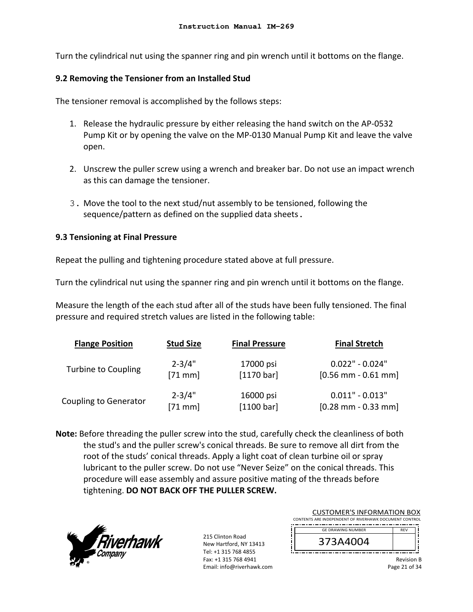Turn the cylindrical nut using the spanner ring and pin wrench until it bottoms on the flange.

#### **9.2 Removing the Tensioner from an Installed Stud**

The tensioner removal is accomplished by the follows steps:

- 1. Release the hydraulic pressure by either releasing the hand switch on the AP‐0532 Pump Kit or by opening the valve on the MP‐0130 Manual Pump Kit and leave the valve open.
- 2. Unscrew the puller screw using a wrench and breaker bar. Do not use an impact wrench as this can damage the tensioner.
- 3. Move the tool to the next stud/nut assembly to be tensioned, following the sequence/pattern as defined on the supplied data sheets.

### **9.3 Tensioning at Final Pressure**

Repeat the pulling and tightening procedure stated above at full pressure.

Turn the cylindrical nut using the spanner ring and pin wrench until it bottoms on the flange.

Measure the length of the each stud after all of the studs have been fully tensioned. The final pressure and required stretch values are listed in the following table:

| <b>Flange Position</b>       | <b>Stud Size</b> | <b>Final Pressure</b> | <b>Final Stretch</b>                  |
|------------------------------|------------------|-----------------------|---------------------------------------|
| <b>Turbine to Coupling</b>   | $2 - 3/4"$       | 17000 psi             | $0.022" - 0.024"$                     |
|                              | $[71$ mm]        | $[1170 \text{ bar}]$  | $[0.56$ mm - 0.61 mm]                 |
| <b>Coupling to Generator</b> | $2 - 3/4"$       | 16000 psi             | $0.011" - 0.013"$                     |
|                              | $[71$ mm]        | [1100 bar]            | $[0.28 \text{ mm} - 0.33 \text{ mm}]$ |

**Note:** Before threading the puller screw into the stud, carefully check the cleanliness of both the stud's and the puller screw's conical threads. Be sure to remove all dirt from the root of the studs' conical threads. Apply a light coat of clean turbine oil or spray lubricant to the puller screw. Do not use "Never Seize" on the conical threads. This procedure will ease assembly and assure positive mating of the threads before tightening. **DO NOT BACK OFF THE PULLER SCREW.**



215 Clinton Road New Hartford, NY 13413 Tel: +1 315 768 4855 Fax: +1 315 768 4941 Email: info@riverhawk.com

| <b>CUSTOMER'S INFORMATION BOX</b>                      |                   |  |  |
|--------------------------------------------------------|-------------------|--|--|
| CONTENTS ARE INDEPENDENT OF RIVERHAWK DOCUMENT CONTROL |                   |  |  |
| <b>GE DRAWING NUMBER</b>                               | <b>RFV</b>        |  |  |
| 373A4004                                               |                   |  |  |
|                                                        | <b>Revision B</b> |  |  |

Page 21 of 34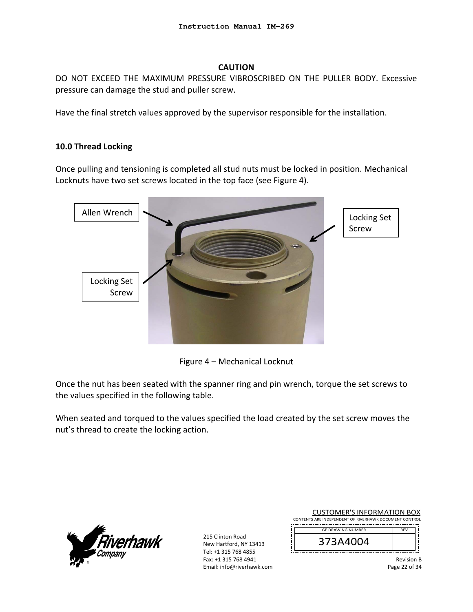### **CAUTION**

DO NOT EXCEED THE MAXIMUM PRESSURE VIBROSCRIBED ON THE PULLER BODY. Excessive pressure can damage the stud and puller screw.

Have the final stretch values approved by the supervisor responsible for the installation.

### **10.0 Thread Locking**

Once pulling and tensioning is completed all stud nuts must be locked in position. Mechanical Locknuts have two set screws located in the top face (see Figure 4).



Figure 4 – Mechanical Locknut

Once the nut has been seated with the spanner ring and pin wrench, torque the set screws to the values specified in the following table.

When seated and torqued to the values specified the load created by the set screw moves the nut's thread to create the locking action.



215 Clinton Road New Hartford, NY 13413 Tel: +1 315 768 4855 Fax: +1 315 768 4941 Email: info@riverhawk.com

| <b>CUSTOMER'S INFORMATION BOX</b>                      |                   |  |  |
|--------------------------------------------------------|-------------------|--|--|
| CONTENTS ARE INDEPENDENT OF RIVERHAWK DOCUMENT CONTROL |                   |  |  |
| <b>GE DRAWING NUMBER</b>                               | <b>RFV</b>        |  |  |
| 373A4004                                               |                   |  |  |
|                                                        | <b>Revision B</b> |  |  |

Page 22 of 34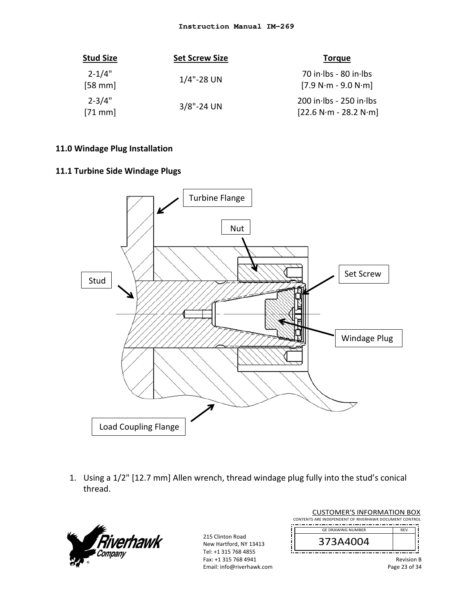| <b>Stud Size</b>       | <b>Set Screw Size</b> | <b>Torque</b>                                      |
|------------------------|-----------------------|----------------------------------------------------|
| $2 - 1/4"$<br>$[58$ mm | $1/4$ "-28 UN         | $70$ in lbs - 80 in lbs<br>$[7.9 N·m - 9.0 N·m]$   |
| $2 - 3/4"$<br>$[71$ mm | $3/8$ "-24 UN         | 200 in lbs - 250 in lbs<br>$[22.6 N·m - 28.2 N·m]$ |

### **11.0 Windage Plug Installation**

## **11.1 Turbine Side Windage Plugs**



1. Using a 1/2" [12.7 mm] Allen wrench, thread windage plug fully into the stud's conical thread.



215 Clinton Road New Hartford, NY 13413 Tel: +1 315 768 4855 Fax: +1 315 768 4941 Email: info@riverhawk.com

| <b>CUSTOMER'S INFORMATION BOX</b><br>CONTENTS ARE INDEPENDENT OF RIVERHAWK DOCUMENT CONTROL |            |  |
|---------------------------------------------------------------------------------------------|------------|--|
|                                                                                             |            |  |
| <b>GF DRAWING NUMBER</b>                                                                    | <b>RFV</b> |  |
|                                                                                             |            |  |
| 373A4004                                                                                    |            |  |

Page 23 of 34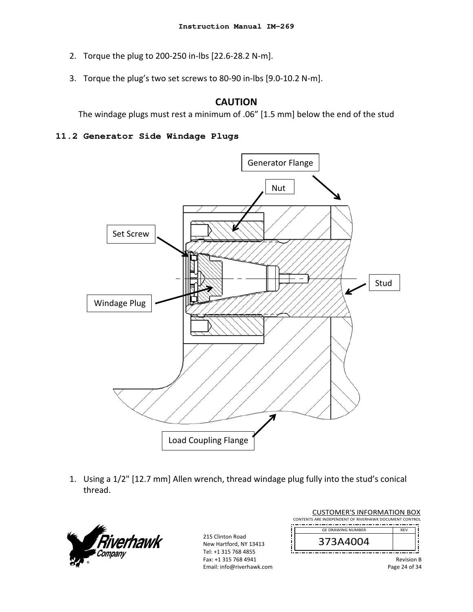- 2. Torque the plug to 200‐250 in‐lbs [22.6‐28.2 N‐m].
- 3. Torque the plug's two set screws to 80‐90 in‐lbs [9.0‐10.2 N‐m].

## **CAUTION**

The windage plugs must rest a minimum of .06" [1.5 mm] below the end of the stud

#### **11.2 Generator Side Windage Plugs**



1. Using a 1/2" [12.7 mm] Allen wrench, thread windage plug fully into the stud's conical thread.



| <b>CUSTOMER'S INFORMATION BOX</b> |                                                        |                   |
|-----------------------------------|--------------------------------------------------------|-------------------|
|                                   | CONTENTS ARE INDEPENDENT OF RIVERHAWK DOCUMENT CONTROL |                   |
|                                   | <b>GE DRAWING NUMBER</b>                               | <b>RFV</b>        |
|                                   | 373A4004                                               |                   |
|                                   |                                                        | <b>Revision B</b> |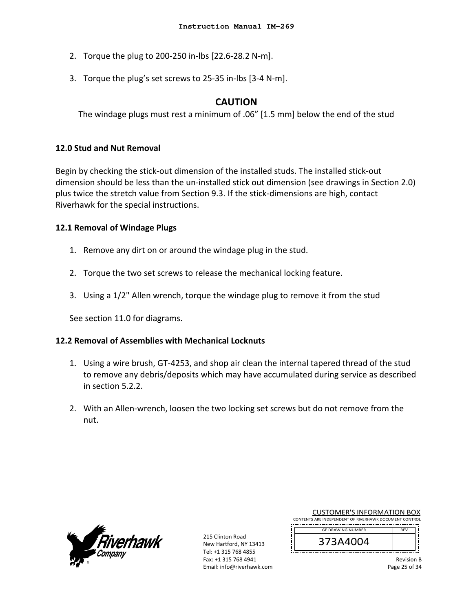- 2. Torque the plug to 200‐250 in‐lbs [22.6‐28.2 N‐m].
- 3. Torque the plug's set screws to 25‐35 in‐lbs [3‐4 N‐m].

## **CAUTION**

The windage plugs must rest a minimum of .06" [1.5 mm] below the end of the stud

### **12.0 Stud and Nut Removal**

Begin by checking the stick‐out dimension of the installed studs. The installed stick‐out dimension should be less than the un‐installed stick out dimension (see drawings in Section 2.0) plus twice the stretch value from Section 9.3. If the stick-dimensions are high, contact Riverhawk for the special instructions.

#### **12.1 Removal of Windage Plugs**

- 1. Remove any dirt on or around the windage plug in the stud.
- 2. Torque the two set screws to release the mechanical locking feature.
- 3. Using a 1/2" Allen wrench, torque the windage plug to remove it from the stud

See section 11.0 for diagrams.

### **12.2 Removal of Assemblies with Mechanical Locknuts**

- 1. Using a wire brush, GT‐4253, and shop air clean the internal tapered thread of the stud to remove any debris/deposits which may have accumulated during service as described in section 5.2.2.
- 2. With an Allen‐wrench, loosen the two locking set screws but do not remove from the nut.



215 Clinton Road New Hartford, NY 13413 Tel: +1 315 768 4855 Fax: +1 315 768 4941 Email: info@riverhawk.com

| COSTONIER STINI ORIVIATION DOA                         |            |  |
|--------------------------------------------------------|------------|--|
| CONTENTS ARE INDEPENDENT OF RIVERHAWK DOCUMENT CONTROL |            |  |
| <b>GE DRAWING NUMBER</b>                               | <b>RFV</b> |  |
|                                                        |            |  |

CUSTOMER'S INFORMATION BOY



Revision B Page 25 of 34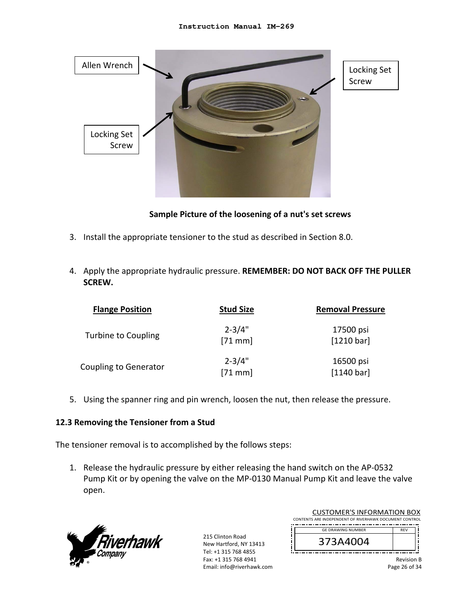

**Sample Picture of the loosening of a nut's set screws** 

- 3. Install the appropriate tensioner to the stud as described in Section 8.0.
- 4. Apply the appropriate hydraulic pressure. **REMEMBER: DO NOT BACK OFF THE PULLER SCREW.**

| <b>Flange Position</b>       | <b>Stud Size</b>        | <b>Removal Pressure</b> |
|------------------------------|-------------------------|-------------------------|
| Turbine to Coupling          | $2 - 3/4"$<br>$[71$ mm] | 17500 psi<br>[1210 bar] |
| <b>Coupling to Generator</b> | $2 - 3/4"$<br>$[71$ mm] | 16500 psi<br>[1140 bar] |

5. Using the spanner ring and pin wrench, loosen the nut, then release the pressure.

### **12.3 Removing the Tensioner from a Stud**

The tensioner removal is to accomplished by the follows steps:

1. Release the hydraulic pressure by either releasing the hand switch on the AP‐0532 Pump Kit or by opening the valve on the MP‐0130 Manual Pump Kit and leave the valve open.



| <b>CUSTOMER'S INFORMATION BOX</b>                      |            |  |
|--------------------------------------------------------|------------|--|
| CONTENTS ARE INDEPENDENT OF RIVERHAWK DOCUMENT CONTROL |            |  |
| <b>GE DRAWING NUMBER</b>                               | <b>RFV</b> |  |
| 373A4004                                               |            |  |
|                                                        |            |  |

Revision B Page 26 of 34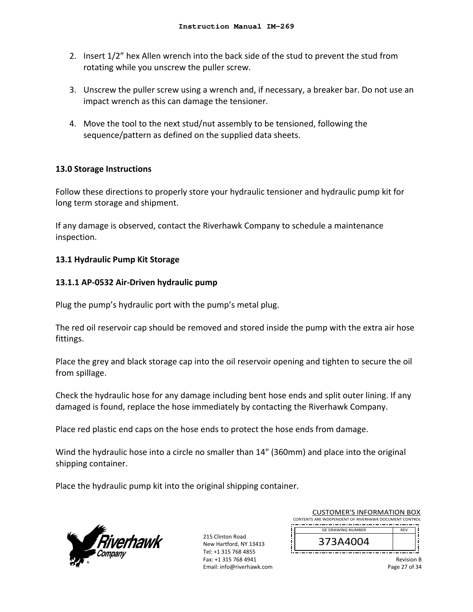- 2. Insert 1/2" hex Allen wrench into the back side of the stud to prevent the stud from rotating while you unscrew the puller screw.
- 3. Unscrew the puller screw using a wrench and, if necessary, a breaker bar. Do not use an impact wrench as this can damage the tensioner.
- 4. Move the tool to the next stud/nut assembly to be tensioned, following the sequence/pattern as defined on the supplied data sheets.

### **13.0 Storage Instructions**

Follow these directions to properly store your hydraulic tensioner and hydraulic pump kit for long term storage and shipment.

If any damage is observed, contact the Riverhawk Company to schedule a maintenance inspection.

### **13.1 Hydraulic Pump Kit Storage**

### **13.1.1 AP‐0532 Air‐Driven hydraulic pump**

Plug the pump's hydraulic port with the pump's metal plug.

The red oil reservoir cap should be removed and stored inside the pump with the extra air hose fittings.

Place the grey and black storage cap into the oil reservoir opening and tighten to secure the oil from spillage.

Check the hydraulic hose for any damage including bent hose ends and split outer lining. If any damaged is found, replace the hose immediately by contacting the Riverhawk Company.

Place red plastic end caps on the hose ends to protect the hose ends from damage.

Wind the hydraulic hose into a circle no smaller than 14" (360mm) and place into the original shipping container.

Place the hydraulic pump kit into the original shipping container.



215 Clinton Road New Hartford, NY 13413 Tel: +1 315 768 4855 Fax: +1 315 768 4941 Email: info@riverhawk.com

|                                                        | <b>CUSTOMER'S INFORMATION BOX</b> |            |  |
|--------------------------------------------------------|-----------------------------------|------------|--|
| CONTENTS ARE INDEPENDENT OF RIVERHAWK DOCUMENT CONTROL |                                   |            |  |
|                                                        | <b>GE DRAWING NUMBER</b>          | <b>RFV</b> |  |
|                                                        |                                   |            |  |
|                                                        | 373A4004                          |            |  |
|                                                        |                                   |            |  |

Revision B Page 27 of 34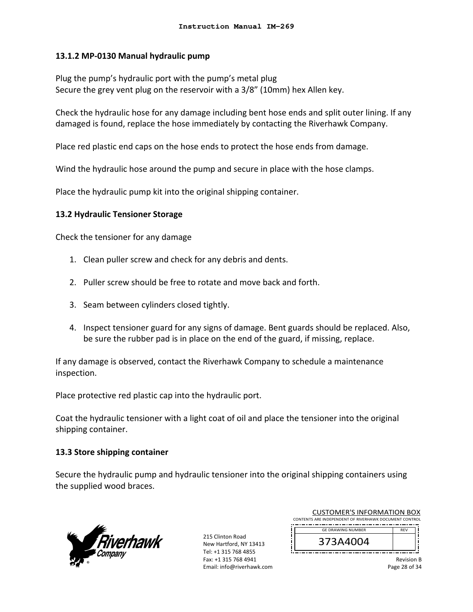### **13.1.2 MP‐0130 Manual hydraulic pump**

Plug the pump's hydraulic port with the pump's metal plug Secure the grey vent plug on the reservoir with a 3/8" (10mm) hex Allen key.

Check the hydraulic hose for any damage including bent hose ends and split outer lining. If any damaged is found, replace the hose immediately by contacting the Riverhawk Company.

Place red plastic end caps on the hose ends to protect the hose ends from damage.

Wind the hydraulic hose around the pump and secure in place with the hose clamps.

Place the hydraulic pump kit into the original shipping container.

### **13.2 Hydraulic Tensioner Storage**

Check the tensioner for any damage

- 1. Clean puller screw and check for any debris and dents.
- 2. Puller screw should be free to rotate and move back and forth.
- 3. Seam between cylinders closed tightly.
- 4. Inspect tensioner guard for any signs of damage. Bent guards should be replaced. Also, be sure the rubber pad is in place on the end of the guard, if missing, replace.

If any damage is observed, contact the Riverhawk Company to schedule a maintenance inspection.

Place protective red plastic cap into the hydraulic port.

Coat the hydraulic tensioner with a light coat of oil and place the tensioner into the original shipping container.

### **13.3 Store shipping container**

Secure the hydraulic pump and hydraulic tensioner into the original shipping containers using the supplied wood braces.



215 Clinton Road New Hartford, NY 13413 Tel: +1 315 768 4855 Fax: +1 315 768 4941 Email: info@riverhawk.com

| <b>CUSTOMER'S INFORMATION BOX</b>                      |            |  |
|--------------------------------------------------------|------------|--|
| CONTENTS ARE INDEPENDENT OF RIVERHAWK DOCUMENT CONTROL |            |  |
| <b>GE DRAWING NUMBER</b>                               | <b>RFV</b> |  |
| 373A4004                                               |            |  |

Revision B Page 28 of 34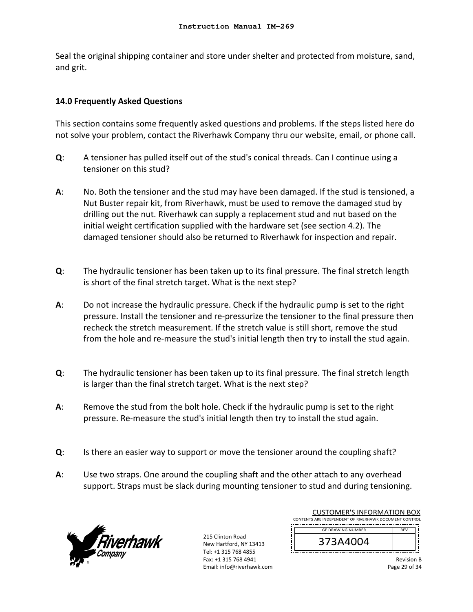Seal the original shipping container and store under shelter and protected from moisture, sand, and grit.

## **14.0 Frequently Asked Questions**

This section contains some frequently asked questions and problems. If the steps listed here do not solve your problem, contact the Riverhawk Company thru our website, email, or phone call.

- **Q**: A tensioner has pulled itself out of the stud's conical threads. Can I continue using a tensioner on this stud?
- **A**: No. Both the tensioner and the stud may have been damaged. If the stud is tensioned, a Nut Buster repair kit, from Riverhawk, must be used to remove the damaged stud by drilling out the nut. Riverhawk can supply a replacement stud and nut based on the initial weight certification supplied with the hardware set (see section 4.2). The damaged tensioner should also be returned to Riverhawk for inspection and repair.
- **Q**: The hydraulic tensioner has been taken up to its final pressure. The final stretch length is short of the final stretch target. What is the next step?
- **A**: Do not increase the hydraulic pressure. Check if the hydraulic pump is set to the right pressure. Install the tensioner and re‐pressurize the tensioner to the final pressure then recheck the stretch measurement. If the stretch value is still short, remove the stud from the hole and re-measure the stud's initial length then try to install the stud again.
- **Q**: The hydraulic tensioner has been taken up to its final pressure. The final stretch length is larger than the final stretch target. What is the next step?
- **A**: Remove the stud from the bolt hole. Check if the hydraulic pump is set to the right pressure. Re‐measure the stud's initial length then try to install the stud again.
- **Q**: Is there an easier way to support or move the tensioner around the coupling shaft?
- **A**: Use two straps. One around the coupling shaft and the other attach to any overhead support. Straps must be slack during mounting tensioner to stud and during tensioning.



215 Clinton Road New Hartford, NY 13413 Tel: +1 315 768 4855 Fax: +1 315 768 4941 Email: info@riverhawk.com

|                                                        | <b>CUSTOMER'S INFORMATION BOX</b> |            |
|--------------------------------------------------------|-----------------------------------|------------|
| CONTENTS ARE INDEPENDENT OF RIVERHAWK DOCUMENT CONTROL |                                   |            |
|                                                        |                                   |            |
|                                                        | <b>GE DRAWING NUMBER</b>          | <b>RFV</b> |
|                                                        | 373A4004                          |            |
|                                                        |                                   |            |

Revision B Page 29 of 34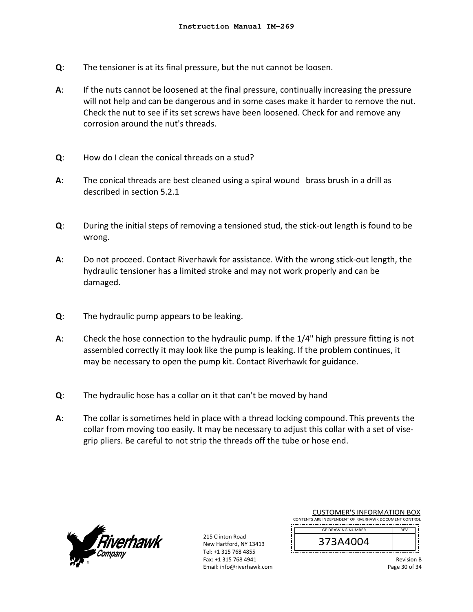- **Q**: The tensioner is at its final pressure, but the nut cannot be loosen.
- **A**: If the nuts cannot be loosened at the final pressure, continually increasing the pressure will not help and can be dangerous and in some cases make it harder to remove the nut. Check the nut to see if its set screws have been loosened. Check for and remove any corrosion around the nut's threads.
- **Q**: How do I clean the conical threads on a stud?
- **A**: The conical threads are best cleaned using a spiral wound brass brush in a drill as described in section 5.2.1
- **Q**: During the initial steps of removing a tensioned stud, the stick‐out length is found to be wrong.
- **A**: Do not proceed. Contact Riverhawk for assistance. With the wrong stick‐out length, the hydraulic tensioner has a limited stroke and may not work properly and can be damaged.
- **Q**: The hydraulic pump appears to be leaking.
- **A**: Check the hose connection to the hydraulic pump. If the 1/4" high pressure fitting is not assembled correctly it may look like the pump is leaking. If the problem continues, it may be necessary to open the pump kit. Contact Riverhawk for guidance.
- **Q**: The hydraulic hose has a collar on it that can't be moved by hand
- **A**: The collar is sometimes held in place with a thread locking compound. This prevents the collar from moving too easily. It may be necessary to adjust this collar with a set of vise‐ grip pliers. Be careful to not strip the threads off the tube or hose end.



215 Clinton Road New Hartford, NY 13413 Tel: +1 315 768 4855 Fax: +1 315 768 4941 Email: info@riverhawk.com

|                                                        | <b>CUSTOMER'S INFORMATION BOX</b> |
|--------------------------------------------------------|-----------------------------------|
| CONTENTS ARE INDEPENDENT OF RIVERHAWK DOCUMENT CONTROL |                                   |
| <b>GE DRAWING NUMBER</b>                               | <b>RFV</b>                        |
| 373A4004                                               |                                   |
|                                                        |                                   |

Revision B Page 30 of 34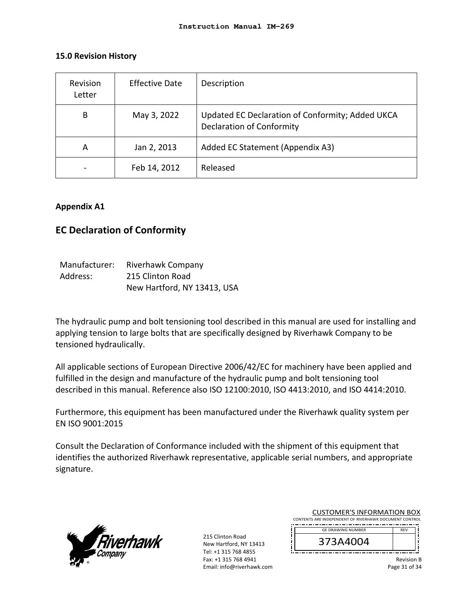#### **15.0 Revision History**

| Revision<br>Letter | <b>Effective Date</b> | Description                                                                          |
|--------------------|-----------------------|--------------------------------------------------------------------------------------|
| B                  | May 3, 2022           | Updated EC Declaration of Conformity; Added UKCA<br><b>Declaration of Conformity</b> |
| A                  | Jan 2, 2013           | Added EC Statement (Appendix A3)                                                     |
|                    | Feb 14, 2012          | Released                                                                             |

#### **Appendix A1**

## **EC Declaration of Conformity**

| Manufacturer: | Riverhawk Company           |
|---------------|-----------------------------|
| Address:      | 215 Clinton Road            |
|               | New Hartford, NY 13413, USA |

The hydraulic pump and bolt tensioning tool described in this manual are used for installing and applying tension to large bolts that are specifically designed by Riverhawk Company to be tensioned hydraulically.

All applicable sections of European Directive 2006/42/EC for machinery have been applied and fulfilled in the design and manufacture of the hydraulic pump and bolt tensioning tool described in this manual. Reference also ISO 12100:2010, ISO 4413:2010, and ISO 4414:2010.

Furthermore, this equipment has been manufactured under the Riverhawk quality system per EN ISO 9001:2015

Consult the Declaration of Conformance included with the shipment of this equipment that identifies the authorized Riverhawk representative, applicable serial numbers, and appropriate signature.



215 Clinton Road New Hartford, NY 13413 Tel: +1 315 768 4855 Fax: +1 315 768 4941 Email: info@riverhawk.com

|                                                        | <b>CUSTOMER'S INFORMATION BOX</b> |            |  |  |
|--------------------------------------------------------|-----------------------------------|------------|--|--|
| CONTENTS ARE INDEPENDENT OF RIVERHAWK DOCUMENT CONTROL |                                   |            |  |  |
|                                                        | <b>GE DRAWING NUMBER</b>          | <b>RFV</b> |  |  |
|                                                        | 373A4004                          |            |  |  |

Revision B Page 31 of 34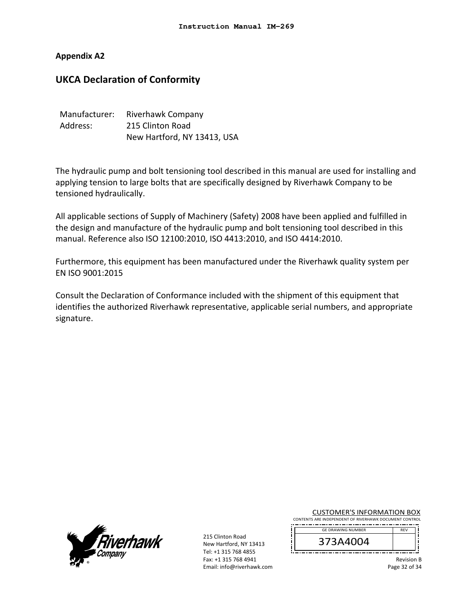**Appendix A2** 

## **UKCA Declaration of Conformity**

| Manufacturer: | Riverhawk Company           |
|---------------|-----------------------------|
| Address:      | 215 Clinton Road            |
|               | New Hartford, NY 13413, USA |

The hydraulic pump and bolt tensioning tool described in this manual are used for installing and applying tension to large bolts that are specifically designed by Riverhawk Company to be tensioned hydraulically.

All applicable sections of Supply of Machinery (Safety) 2008 have been applied and fulfilled in the design and manufacture of the hydraulic pump and bolt tensioning tool described in this manual. Reference also ISO 12100:2010, ISO 4413:2010, and ISO 4414:2010.

Furthermore, this equipment has been manufactured under the Riverhawk quality system per EN ISO 9001:2015

Consult the Declaration of Conformance included with the shipment of this equipment that identifies the authorized Riverhawk representative, applicable serial numbers, and appropriate signature.



215 Clinton Road New Hartford, NY 13413 Tel: +1 315 768 4855 Fax: +1 315 768 4941 Email: info@riverhawk.com

| <b>CUSTOMER'S INFORMATION BOX</b>                      |            |  |
|--------------------------------------------------------|------------|--|
| CONTENTS ARE INDEPENDENT OF RIVERHAWK DOCUMENT CONTROL |            |  |
| GE DRAWING NUMBER                                      | <b>REV</b> |  |



Revision B

Page 32 of 34

REV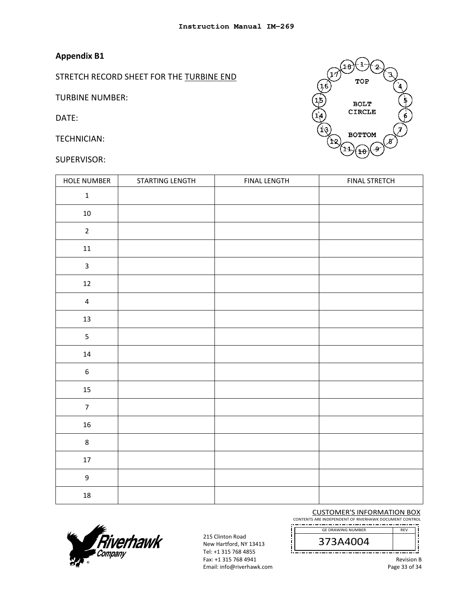## **Appendix B1**

STRETCH RECORD SHEET FOR THE TURBINE END

TURBINE NUMBER:

DATE:

TECHNICIAN:

#### SUPERVISOR:



| <b>HOLE NUMBER</b>      | STARTING LENGTH | <b>FINAL LENGTH</b> | <b>FINAL STRETCH</b> |
|-------------------------|-----------------|---------------------|----------------------|
| $\mathbf 1$             |                 |                     |                      |
| $10\,$                  |                 |                     |                      |
| $\overline{2}$          |                 |                     |                      |
| ${\bf 11}$              |                 |                     |                      |
| $\mathbf{3}$            |                 |                     |                      |
| $12\,$                  |                 |                     |                      |
| $\overline{\mathbf{4}}$ |                 |                     |                      |
| $13\,$                  |                 |                     |                      |
| $\overline{5}$          |                 |                     |                      |
| ${\bf 14}$              |                 |                     |                      |
| $\boldsymbol{6}$        |                 |                     |                      |
| $15\,$                  |                 |                     |                      |
| $\overline{7}$          |                 |                     |                      |
| ${\bf 16}$              |                 |                     |                      |
| $\,8\,$                 |                 |                     |                      |
| $17\,$                  |                 |                     |                      |
| $\boldsymbol{9}$        |                 |                     |                      |
| $18\,$                  |                 |                     |                      |



215 Clinton Road New Hartford, NY 13413 Tel: +1 315 768 4855 Fax: +1 315 768 4941 Email: info@riverhawk.com

CUSTOMER'S INFORMATION BOX CONTENTS ARE INDEPENDENT OF RIVERHAWK DOCUMENT CONTROL -------------------------------------

GE DRAWING NUMBER



Revision B

Page 33 of 34

REV